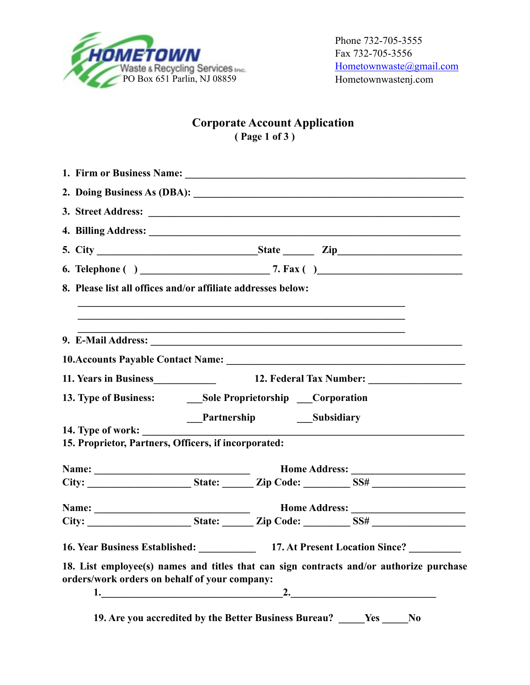

# **Corporate Account Application ( Page 1 of 3 )**

| 8. Please list all offices and/or affiliate addresses below: |                                                       |                                                                                                                        |  |
|--------------------------------------------------------------|-------------------------------------------------------|------------------------------------------------------------------------------------------------------------------------|--|
|                                                              |                                                       |                                                                                                                        |  |
|                                                              |                                                       |                                                                                                                        |  |
|                                                              |                                                       | 11. Years in Business<br>12. Federal Tax Number:                                                                       |  |
|                                                              |                                                       |                                                                                                                        |  |
|                                                              | Partnership Subsidiary                                |                                                                                                                        |  |
| 14. Type of work:                                            |                                                       | <u> 1989 - Johann Stoff, deutscher Stoffen und der Stoffen und der Stoffen und der Stoffen und der Stoffen und der</u> |  |
| 15. Proprietor, Partners, Officers, if incorporated:         |                                                       |                                                                                                                        |  |
|                                                              |                                                       |                                                                                                                        |  |
|                                                              |                                                       |                                                                                                                        |  |
|                                                              |                                                       |                                                                                                                        |  |
|                                                              |                                                       |                                                                                                                        |  |
|                                                              |                                                       | 16. Year Business Established: 17. At Present Location Since? _______                                                  |  |
| orders/work orders on behalf of your company:                |                                                       | 18. List employee(s) names and titles that can sign contracts and/or authorize purchase                                |  |
|                                                              | 2.                                                    |                                                                                                                        |  |
|                                                              | 19. Are you accredited by the Better Business Bureau? | <b>Yes</b><br>N <sub>0</sub>                                                                                           |  |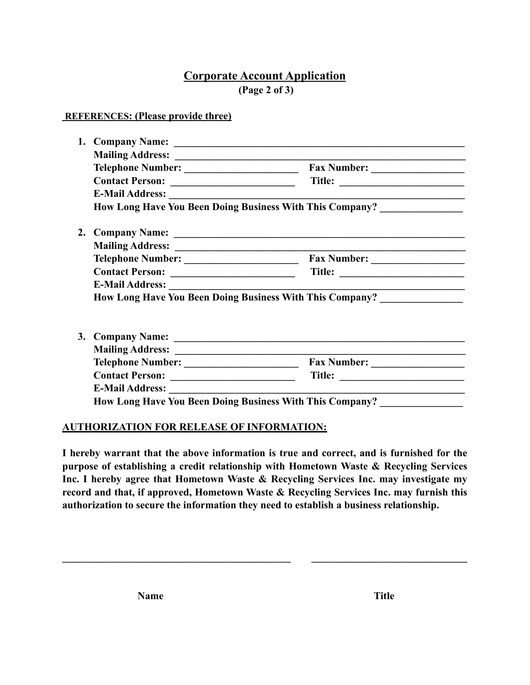## **Corporate Account Application (Page 2 of 3)**

#### **REFERENCES: (Please provide three)**

|    |                                                                          | How Long Have You Been Doing Business With This Company? _______________________ |  |
|----|--------------------------------------------------------------------------|----------------------------------------------------------------------------------|--|
| 2. |                                                                          |                                                                                  |  |
|    |                                                                          |                                                                                  |  |
|    |                                                                          |                                                                                  |  |
|    |                                                                          |                                                                                  |  |
|    |                                                                          |                                                                                  |  |
|    | How Long Have You Been Doing Business With This Company? _______________ |                                                                                  |  |
|    |                                                                          |                                                                                  |  |
|    |                                                                          |                                                                                  |  |
|    |                                                                          |                                                                                  |  |
|    |                                                                          |                                                                                  |  |
|    |                                                                          |                                                                                  |  |
|    |                                                                          |                                                                                  |  |
|    |                                                                          |                                                                                  |  |

#### **AUTHORIZATION FOR RELEASE OF INFORMATION:**

**I hereby warrant that the above information is true and correct, and is furnished for the purpose of establishing a credit relationship with Hometown Waste & Recycling Services Inc. I hereby agree that Hometown Waste & Recycling Services Inc. may investigate my record and that, if approved, Hometown Waste & Recycling Services Inc. may furnish this authorization to secure the information they need to establish a business relationship.**

 $\mathcal{L} = \{ \mathcal{L} \mathcal{L} \mathcal{L} \mathcal{L} \mathcal{L} \mathcal{L} \mathcal{L} \mathcal{L} \mathcal{L} \mathcal{L} \mathcal{L} \mathcal{L} \mathcal{L} \mathcal{L} \mathcal{L} \mathcal{L} \mathcal{L} \mathcal{L} \mathcal{L} \mathcal{L} \mathcal{L} \mathcal{L} \mathcal{L} \mathcal{L} \mathcal{L} \mathcal{L} \mathcal{L} \mathcal{L} \mathcal{L} \mathcal{L} \mathcal{L} \mathcal{L} \mathcal{L} \mathcal{L} \mathcal{L} \$